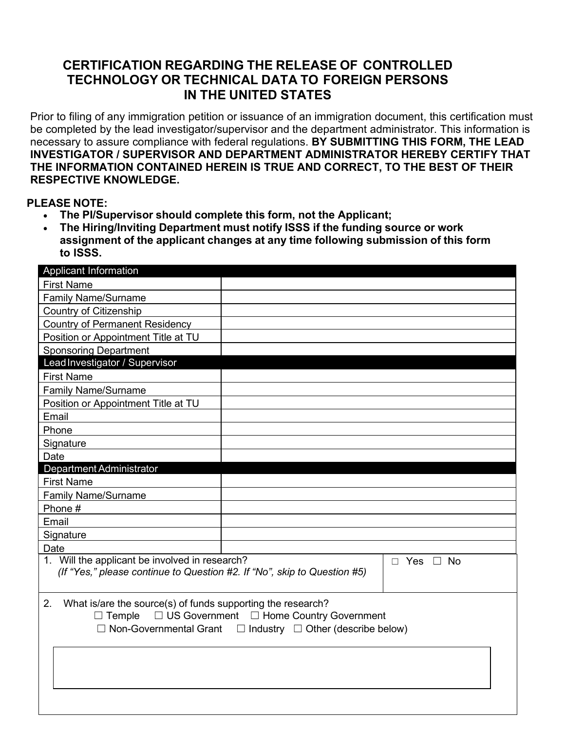## **CERTIFICATION REGARDING THE RELEASE OF CONTROLLED TECHNOLOGY OR TECHNICAL DATA TO FOREIGN PERSONS IN THE UNITED STATES**

Prior to filing of any immigration petition or issuance of an immigration document, this certification must be completed by the lead investigator/supervisor and the department administrator. This information is necessary to assure compliance with federal regulations. **BY SUBMITTING THIS FORM, THE LEAD INVESTIGATOR / SUPERVISOR AND DEPARTMENT ADMINISTRATOR HEREBY CERTIFY THAT THE INFORMATION CONTAINED HEREIN IS TRUE AND CORRECT, TO THE BEST OF THEIR RESPECTIVE KNOWLEDGE.**

## **PLEASE NOTE:**

- **The PI/Supervisor should complete this form, not the Applicant;**
- **The Hiring/Inviting Department must notify ISSS if the funding source or work assignment of the applicant changes at any time following submission of this form to ISSS.**

| Applicant Information                                                                                                      |                                                                                                                                    |
|----------------------------------------------------------------------------------------------------------------------------|------------------------------------------------------------------------------------------------------------------------------------|
| <b>First Name</b>                                                                                                          |                                                                                                                                    |
| <b>Family Name/Surname</b>                                                                                                 |                                                                                                                                    |
| <b>Country of Citizenship</b>                                                                                              |                                                                                                                                    |
| <b>Country of Permanent Residency</b>                                                                                      |                                                                                                                                    |
| Position or Appointment Title at TU                                                                                        |                                                                                                                                    |
| <b>Sponsoring Department</b>                                                                                               |                                                                                                                                    |
| Lead Investigator / Supervisor                                                                                             |                                                                                                                                    |
| <b>First Name</b>                                                                                                          |                                                                                                                                    |
| <b>Family Name/Surname</b>                                                                                                 |                                                                                                                                    |
| Position or Appointment Title at TU                                                                                        |                                                                                                                                    |
| Email                                                                                                                      |                                                                                                                                    |
| Phone                                                                                                                      |                                                                                                                                    |
| Signature                                                                                                                  |                                                                                                                                    |
| Date                                                                                                                       |                                                                                                                                    |
| Department Administrator                                                                                                   |                                                                                                                                    |
| <b>First Name</b>                                                                                                          |                                                                                                                                    |
| <b>Family Name/Surname</b>                                                                                                 |                                                                                                                                    |
| Phone #                                                                                                                    |                                                                                                                                    |
| Email                                                                                                                      |                                                                                                                                    |
| Signature                                                                                                                  |                                                                                                                                    |
| Date                                                                                                                       |                                                                                                                                    |
| 1. Will the applicant be involved in research?<br>(If "Yes," please continue to Question #2. If "No", skip to Question #5) | Yes $\Box$ No<br>$\Box$                                                                                                            |
| 2.<br>What is/are the source(s) of funds supporting the research?<br>$\Box$ Temple                                         | $\Box$ US Government $\Box$ Home Country Government<br>$\Box$ Non-Governmental Grant $\Box$ Industry $\Box$ Other (describe below) |
|                                                                                                                            |                                                                                                                                    |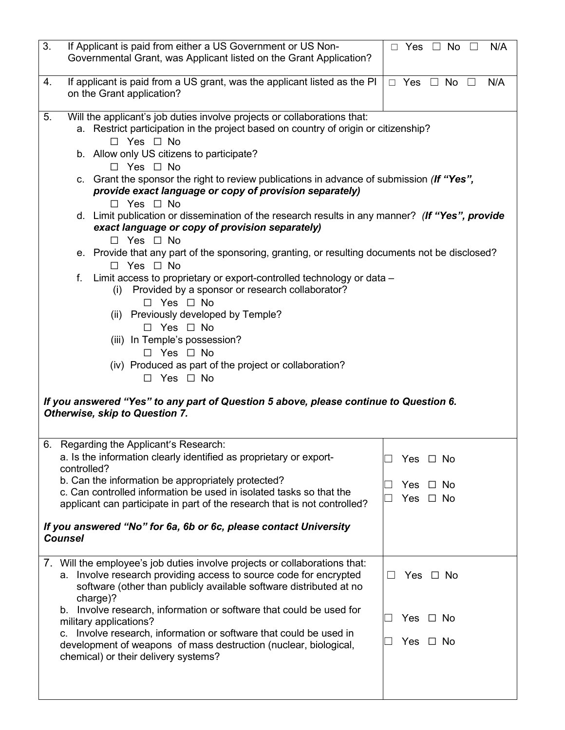| 3.<br>If Applicant is paid from either a US Government or US Non-<br>Governmental Grant, was Applicant listed on the Grant Application?                                                                                                                                                                                                                                                                                                                                                                                                                                                                                                                                                                                                                                                                                                                                                                                                                                                                                                                                                                                                                                                                                                                              | $\Box$ Yes $\Box$ No<br>N/A<br>$\perp$          |  |  |  |  |  |
|----------------------------------------------------------------------------------------------------------------------------------------------------------------------------------------------------------------------------------------------------------------------------------------------------------------------------------------------------------------------------------------------------------------------------------------------------------------------------------------------------------------------------------------------------------------------------------------------------------------------------------------------------------------------------------------------------------------------------------------------------------------------------------------------------------------------------------------------------------------------------------------------------------------------------------------------------------------------------------------------------------------------------------------------------------------------------------------------------------------------------------------------------------------------------------------------------------------------------------------------------------------------|-------------------------------------------------|--|--|--|--|--|
| If applicant is paid from a US grant, was the applicant listed as the PI<br>4.<br>on the Grant application?                                                                                                                                                                                                                                                                                                                                                                                                                                                                                                                                                                                                                                                                                                                                                                                                                                                                                                                                                                                                                                                                                                                                                          | $\Box$ Yes $\Box$ No $\Box$<br>N/A              |  |  |  |  |  |
| 5.<br>Will the applicant's job duties involve projects or collaborations that:<br>a. Restrict participation in the project based on country of origin or citizenship?<br>$\Box$ Yes $\Box$ No<br>b. Allow only US citizens to participate?<br>$\Box$ Yes $\Box$ No<br>c. Grant the sponsor the right to review publications in advance of submission (If "Yes",<br>provide exact language or copy of provision separately)<br>Yes $\Box$ No<br>$\Box$<br>d. Limit publication or dissemination of the research results in any manner? (If "Yes", provide<br>exact language or copy of provision separately)<br>$\Box$ Yes $\Box$ No<br>e. Provide that any part of the sponsoring, granting, or resulting documents not be disclosed?<br>$\Box$ Yes $\Box$ No<br>Limit access to proprietary or export-controlled technology or data -<br>f.<br>Provided by a sponsor or research collaborator?<br>(i)<br>$\Box$ Yes $\Box$ No<br>(ii) Previously developed by Temple?<br>$\Box$ Yes $\Box$ No<br>(iii) In Temple's possession?<br>$\Box$ Yes $\Box$ No<br>(iv) Produced as part of the project or collaboration?<br>$\Box$ Yes $\Box$ No<br>If you answered "Yes" to any part of Question 5 above, please continue to Question 6.<br>Otherwise, skip to Question 7. |                                                 |  |  |  |  |  |
| 6. Regarding the Applicant's Research:<br>a. Is the information clearly identified as proprietary or export-<br>controlled?<br>b. Can the information be appropriately protected?<br>c. Can controlled information be used in isolated tasks so that the<br>applicant can participate in part of the research that is not controlled?<br>If you answered "No" for 6a, 6b or 6c, please contact University<br><b>Counsel</b>                                                                                                                                                                                                                                                                                                                                                                                                                                                                                                                                                                                                                                                                                                                                                                                                                                          | Yes $\Box$ No<br>No.<br>Yes<br>Yes<br>$\Box$ No |  |  |  |  |  |
| 7. Will the employee's job duties involve projects or collaborations that:<br>a. Involve research providing access to source code for encrypted<br>software (other than publicly available software distributed at no<br>charge)?<br>Involve research, information or software that could be used for<br>b.<br>military applications?<br>Involve research, information or software that could be used in<br>C.<br>development of weapons of mass destruction (nuclear, biological,<br>chemical) or their delivery systems?                                                                                                                                                                                                                                                                                                                                                                                                                                                                                                                                                                                                                                                                                                                                           | Yes $\Box$ No<br>Yes $\Box$ No<br>Yes $\Box$ No |  |  |  |  |  |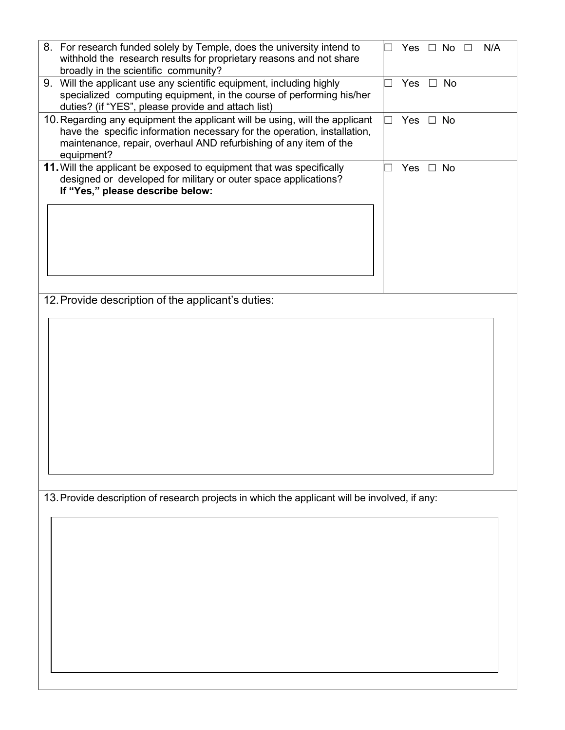| 8. For research funded solely by Temple, does the university intend to<br>withhold the research results for proprietary reasons and not share<br>broadly in the scientific community?                                                      | $\overline{\phantom{0}}$ |               | Yes $\Box$ No $\Box$ | N/A |
|--------------------------------------------------------------------------------------------------------------------------------------------------------------------------------------------------------------------------------------------|--------------------------|---------------|----------------------|-----|
| 9. Will the applicant use any scientific equipment, including highly<br>specialized computing equipment, in the course of performing his/her<br>duties? (if "YES", please provide and attach list)                                         | $\overline{\phantom{a}}$ | Yes $\Box$ No |                      |     |
| 10. Regarding any equipment the applicant will be using, will the applicant<br>have the specific information necessary for the operation, installation,<br>maintenance, repair, overhaul AND refurbishing of any item of the<br>equipment? | $\overline{\phantom{0}}$ | Yes $\Box$ No |                      |     |
| 11. Will the applicant be exposed to equipment that was specifically<br>designed or developed for military or outer space applications?<br>If "Yes," please describe below:                                                                |                          | Yes □ No      |                      |     |
|                                                                                                                                                                                                                                            |                          |               |                      |     |
|                                                                                                                                                                                                                                            |                          |               |                      |     |
| 12. Provide description of the applicant's duties:                                                                                                                                                                                         |                          |               |                      |     |
|                                                                                                                                                                                                                                            |                          |               |                      |     |
|                                                                                                                                                                                                                                            |                          |               |                      |     |
|                                                                                                                                                                                                                                            |                          |               |                      |     |
|                                                                                                                                                                                                                                            |                          |               |                      |     |
|                                                                                                                                                                                                                                            |                          |               |                      |     |
|                                                                                                                                                                                                                                            |                          |               |                      |     |
|                                                                                                                                                                                                                                            |                          |               |                      |     |
| 13. Provide description of research projects in which the applicant will be involved, if any:                                                                                                                                              |                          |               |                      |     |
|                                                                                                                                                                                                                                            |                          |               |                      |     |
|                                                                                                                                                                                                                                            |                          |               |                      |     |
|                                                                                                                                                                                                                                            |                          |               |                      |     |
|                                                                                                                                                                                                                                            |                          |               |                      |     |
|                                                                                                                                                                                                                                            |                          |               |                      |     |
|                                                                                                                                                                                                                                            |                          |               |                      |     |
|                                                                                                                                                                                                                                            |                          |               |                      |     |